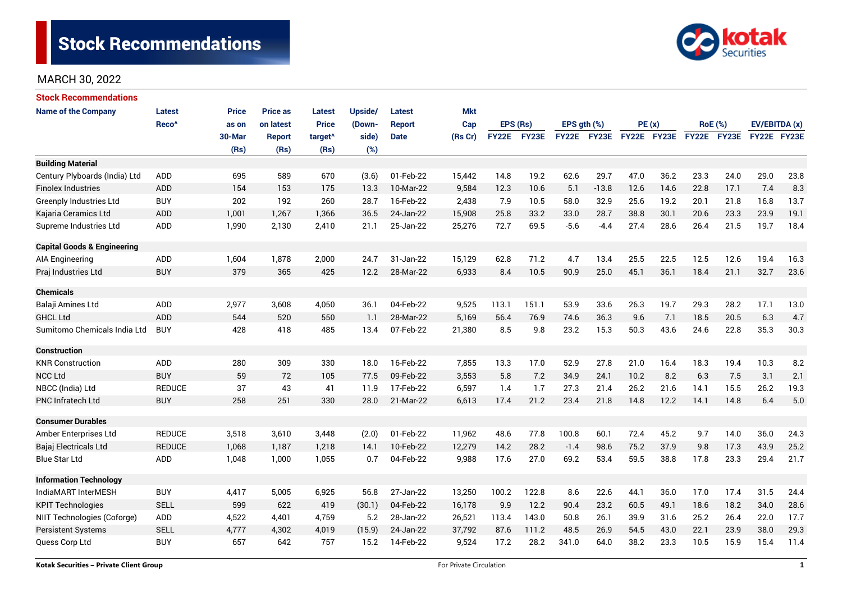

| <b>Stock Recommendations</b>           |                   |              |                 |                     |         |               |            |              |       |                  |         |             |      |                |      |               |      |
|----------------------------------------|-------------------|--------------|-----------------|---------------------|---------|---------------|------------|--------------|-------|------------------|---------|-------------|------|----------------|------|---------------|------|
| <b>Name of the Company</b>             | Latest            | <b>Price</b> | <b>Price as</b> | Latest              | Upside/ | Latest        | <b>Mkt</b> |              |       |                  |         |             |      |                |      |               |      |
|                                        | Reco <sup>^</sup> | as on        | on latest       | <b>Price</b>        | (Down-  | <b>Report</b> | Cap        | EPS (Rs)     |       | $EPS$ qth $(\%)$ |         | PE(x)       |      | <b>RoE</b> (%) |      | EV/EBITDA (x) |      |
|                                        |                   | 30-Mar       | <b>Report</b>   | target <sup>^</sup> | side)   | <b>Date</b>   | (Rs Cr)    | <b>FY22E</b> | FY23E | <b>FY22E</b>     | FY23E   | FY22E FY23E |      | FY22E FY23E    |      | FY22E FY23E   |      |
|                                        |                   | (Rs)         | (Rs)            | (Rs)                | (%)     |               |            |              |       |                  |         |             |      |                |      |               |      |
| <b>Building Material</b>               |                   |              |                 |                     |         |               |            |              |       |                  |         |             |      |                |      |               |      |
| Century Plyboards (India) Ltd          | <b>ADD</b>        | 695          | 589             | 670                 | (3.6)   | 01-Feb-22     | 15,442     | 14.8         | 19.2  | 62.6             | 29.7    | 47.0        | 36.2 | 23.3           | 24.0 | 29.0          | 23.8 |
| <b>Finolex Industries</b>              | <b>ADD</b>        | 154          | 153             | 175                 | 13.3    | 10-Mar-22     | 9,584      | 12.3         | 10.6  | 5.1              | $-13.8$ | 12.6        | 14.6 | 22.8           | 17.1 | 7.4           | 8.3  |
| <b>Greenply Industries Ltd</b>         | <b>BUY</b>        | 202          | 192             | 260                 | 28.7    | 16-Feb-22     | 2,438      | 7.9          | 10.5  | 58.0             | 32.9    | 25.6        | 19.2 | 20.1           | 21.8 | 16.8          | 13.7 |
| Kajaria Ceramics Ltd                   | <b>ADD</b>        | 1,001        | 1,267           | 1,366               | 36.5    | 24-Jan-22     | 15,908     | 25.8         | 33.2  | 33.0             | 28.7    | 38.8        | 30.1 | 20.6           | 23.3 | 23.9          | 19.1 |
| Supreme Industries Ltd                 | ADD               | 1,990        | 2,130           | 2,410               | 21.1    | 25-Jan-22     | 25,276     | 72.7         | 69.5  | $-5.6$           | $-4.4$  | 27.4        | 28.6 | 26.4           | 21.5 | 19.7          | 18.4 |
| <b>Capital Goods &amp; Engineering</b> |                   |              |                 |                     |         |               |            |              |       |                  |         |             |      |                |      |               |      |
| <b>AIA Engineering</b>                 | ADD               | 1,604        | 1,878           | 2,000               | 24.7    | 31-Jan-22     | 15,129     | 62.8         | 71.2  | 4.7              | 13.4    | 25.5        | 22.5 | 12.5           | 12.6 | 19.4          | 16.3 |
| Praj Industries Ltd                    | <b>BUY</b>        | 379          | 365             | 425                 | 12.2    | 28-Mar-22     | 6,933      | 8.4          | 10.5  | 90.9             | 25.0    | 45.1        | 36.1 | 18.4           | 21.1 | 32.7          | 23.6 |
| <b>Chemicals</b>                       |                   |              |                 |                     |         |               |            |              |       |                  |         |             |      |                |      |               |      |
| Balaji Amines Ltd                      | ADD               | 2,977        | 3,608           | 4,050               | 36.1    | 04-Feb-22     | 9,525      | 113.1        | 151.1 | 53.9             | 33.6    | 26.3        | 19.7 | 29.3           | 28.2 | 17.1          | 13.0 |
| <b>GHCL Ltd</b>                        | <b>ADD</b>        | 544          | 520             | 550                 | 1.1     | 28-Mar-22     | 5,169      | 56.4         | 76.9  | 74.6             | 36.3    | 9.6         | 7.1  | 18.5           | 20.5 | 6.3           | 4.7  |
| Sumitomo Chemicals India Ltd           | <b>BUY</b>        | 428          | 418             | 485                 | 13.4    | 07-Feb-22     | 21,380     | 8.5          | 9.8   | 23.2             | 15.3    | 50.3        | 43.6 | 24.6           | 22.8 | 35.3          | 30.3 |
| Construction                           |                   |              |                 |                     |         |               |            |              |       |                  |         |             |      |                |      |               |      |
| <b>KNR Construction</b>                | ADD               | 280          | 309             | 330                 | 18.0    | 16-Feb-22     | 7,855      | 13.3         | 17.0  | 52.9             | 27.8    | 21.0        | 16.4 | 18.3           | 19.4 | 10.3          | 8.2  |
| <b>NCC Ltd</b>                         | <b>BUY</b>        | 59           | 72              | 105                 | 77.5    | 09-Feb-22     | 3,553      | 5.8          | 7.2   | 34.9             | 24.1    | 10.2        | 8.2  | 6.3            | 7.5  | 3.1           | 2.1  |
| NBCC (India) Ltd                       | <b>REDUCE</b>     | 37           | 43              | 41                  | 11.9    | 17-Feb-22     | 6,597      | 1.4          | 1.7   | 27.3             | 21.4    | 26.2        | 21.6 | 14.1           | 15.5 | 26.2          | 19.3 |
| <b>PNC Infratech Ltd</b>               | <b>BUY</b>        | 258          | 251             | 330                 | 28.0    | 21-Mar-22     | 6,613      | 17.4         | 21.2  | 23.4             | 21.8    | 14.8        | 12.2 | 14.1           | 14.8 | 6.4           | 5.0  |
| <b>Consumer Durables</b>               |                   |              |                 |                     |         |               |            |              |       |                  |         |             |      |                |      |               |      |
| Amber Enterprises Ltd                  | <b>REDUCE</b>     | 3,518        | 3,610           | 3,448               | (2.0)   | 01-Feb-22     | 11,962     | 48.6         | 77.8  | 100.8            | 60.1    | 72.4        | 45.2 | 9.7            | 14.0 | 36.0          | 24.3 |
| Bajaj Electricals Ltd                  | <b>REDUCE</b>     | 1,068        | 1,187           | 1,218               | 14.1    | 10-Feb-22     | 12,279     | 14.2         | 28.2  | $-1.4$           | 98.6    | 75.2        | 37.9 | 9.8            | 17.3 | 43.9          | 25.2 |
| <b>Blue Star Ltd</b>                   | ADD               | 1,048        | 1,000           | 1,055               | 0.7     | 04-Feb-22     | 9,988      | 17.6         | 27.0  | 69.2             | 53.4    | 59.5        | 38.8 | 17.8           | 23.3 | 29.4          | 21.7 |
| <b>Information Technology</b>          |                   |              |                 |                     |         |               |            |              |       |                  |         |             |      |                |      |               |      |
| IndiaMART InterMESH                    | <b>BUY</b>        | 4,417        | 5,005           | 6,925               | 56.8    | 27-Jan-22     | 13,250     | 100.2        | 122.8 | 8.6              | 22.6    | 44.1        | 36.0 | 17.0           | 17.4 | 31.5          | 24.4 |
| <b>KPIT Technologies</b>               | <b>SELL</b>       | 599          | 622             | 419                 | (30.1)  | 04-Feb-22     | 16,178     | 9.9          | 12.2  | 90.4             | 23.2    | 60.5        | 49.1 | 18.6           | 18.2 | 34.0          | 28.6 |
| NIIT Technologies (Coforge)            | ADD               | 4,522        | 4,401           | 4,759               | 5.2     | 28-Jan-22     | 26,521     | 113.4        | 143.0 | 50.8             | 26.1    | 39.9        | 31.6 | 25.2           | 26.4 | 22.0          | 17.7 |
| <b>Persistent Systems</b>              | <b>SELL</b>       | 4,777        | 4,302           | 4,019               | (15.9)  | 24-Jan-22     | 37,792     | 87.6         | 111.2 | 48.5             | 26.9    | 54.5        | 43.0 | 22.1           | 23.9 | 38.0          | 29.3 |
| Quess Corp Ltd                         | <b>BUY</b>        | 657          | 642             | 757                 | 15.2    | 14-Feb-22     | 9,524      | 17.2         | 28.2  | 341.0            | 64.0    | 38.2        | 23.3 | 10.5           | 15.9 | 15.4          | 11.4 |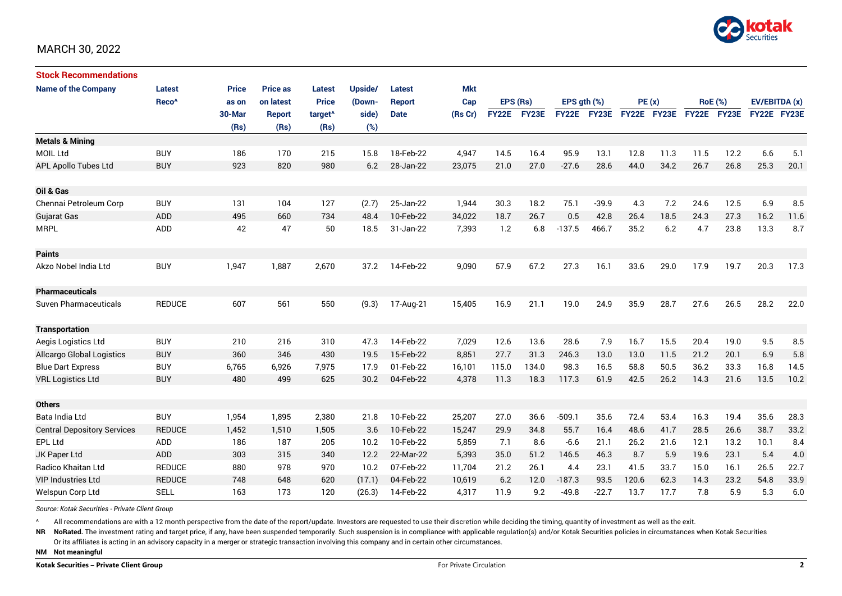

| <b>Stock Recommendations</b>       |                   |              |                 |                     |         |               |            |              |       |                  |              |             |      |                |      |               |      |
|------------------------------------|-------------------|--------------|-----------------|---------------------|---------|---------------|------------|--------------|-------|------------------|--------------|-------------|------|----------------|------|---------------|------|
| <b>Name of the Company</b>         | Latest            | <b>Price</b> | <b>Price as</b> | <b>Latest</b>       | Upside/ | <b>Latest</b> | <b>Mkt</b> |              |       |                  |              |             |      |                |      |               |      |
|                                    | Reco <sup>^</sup> | as on        | on latest       | <b>Price</b>        | (Down-  | <b>Report</b> | Cap        | EPS (Rs)     |       | EPS $qth$ $(\%)$ |              | PE(x)       |      | <b>RoE</b> (%) |      | EV/EBITDA (x) |      |
|                                    |                   | 30-Mar       | Report          | target <sup>^</sup> | side)   | <b>Date</b>   | (Rs Cr)    | <b>FY22E</b> | FY23E | <b>FY22E</b>     | <b>FY23E</b> | FY22E FY23E |      | FY22E FY23E    |      | FY22E FY23E   |      |
|                                    |                   | (Rs)         | (Rs)            | (Rs)                | (%)     |               |            |              |       |                  |              |             |      |                |      |               |      |
| <b>Metals &amp; Mining</b>         |                   |              |                 |                     |         |               |            |              |       |                  |              |             |      |                |      |               |      |
| <b>MOIL Ltd</b>                    | <b>BUY</b>        | 186          | 170             | 215                 | 15.8    | 18-Feb-22     | 4,947      | 14.5         | 16.4  | 95.9             | 13.1         | 12.8        | 11.3 | 11.5           | 12.2 | 6.6           | 5.1  |
| <b>APL Apollo Tubes Ltd</b>        | <b>BUY</b>        | 923          | 820             | 980                 | 6.2     | 28-Jan-22     | 23,075     | 21.0         | 27.0  | $-27.6$          | 28.6         | 44.0        | 34.2 | 26.7           | 26.8 | 25.3          | 20.1 |
|                                    |                   |              |                 |                     |         |               |            |              |       |                  |              |             |      |                |      |               |      |
| Oil & Gas                          |                   |              |                 |                     |         |               |            |              |       |                  |              |             |      |                |      |               |      |
| Chennai Petroleum Corp             | <b>BUY</b>        | 131          | 104             | 127                 | (2.7)   | 25-Jan-22     | 1,944      | 30.3         | 18.2  | 75.1             | $-39.9$      | 4.3         | 7.2  | 24.6           | 12.5 | 6.9           | 8.5  |
| <b>Gujarat Gas</b>                 | ADD               | 495          | 660             | 734                 | 48.4    | 10-Feb-22     | 34.022     | 18.7         | 26.7  | 0.5              | 42.8         | 26.4        | 18.5 | 24.3           | 27.3 | 16.2          | 11.6 |
| <b>MRPL</b>                        | ADD               | 42           | 47              | 50                  | 18.5    | 31-Jan-22     | 7,393      | 1.2          | 6.8   | $-137.5$         | 466.7        | 35.2        | 6.2  | 4.7            | 23.8 | 13.3          | 8.7  |
|                                    |                   |              |                 |                     |         |               |            |              |       |                  |              |             |      |                |      |               |      |
| <b>Paints</b>                      |                   |              |                 |                     |         |               |            |              |       |                  |              |             |      |                |      |               |      |
| Akzo Nobel India Ltd               | <b>BUY</b>        | 1,947        | 1,887           | 2,670               | 37.2    | 14-Feb-22     | 9,090      | 57.9         | 67.2  | 27.3             | 16.1         | 33.6        | 29.0 | 17.9           | 19.7 | 20.3          | 17.3 |
|                                    |                   |              |                 |                     |         |               |            |              |       |                  |              |             |      |                |      |               |      |
| <b>Pharmaceuticals</b>             |                   |              |                 |                     |         |               |            |              |       |                  |              |             |      |                |      |               |      |
| <b>Suven Pharmaceuticals</b>       | <b>REDUCE</b>     | 607          | 561             | 550                 | (9.3)   | 17-Aug-21     | 15,405     | 16.9         | 21.1  | 19.0             | 24.9         | 35.9        | 28.7 | 27.6           | 26.5 | 28.2          | 22.0 |
|                                    |                   |              |                 |                     |         |               |            |              |       |                  |              |             |      |                |      |               |      |
| <b>Transportation</b>              |                   |              |                 |                     |         |               |            |              |       |                  |              |             |      |                |      |               |      |
| Aegis Logistics Ltd                | <b>BUY</b>        | 210          | 216             | 310                 | 47.3    | 14-Feb-22     | 7,029      | 12.6         | 13.6  | 28.6             | 7.9          | 16.7        | 15.5 | 20.4           | 19.0 | 9.5           | 8.5  |
| Allcargo Global Logistics          | <b>BUY</b>        | 360          | 346             | 430                 | 19.5    | 15-Feb-22     | 8,851      | 27.7         | 31.3  | 246.3            | 13.0         | 13.0        | 11.5 | 21.2           | 20.1 | 6.9           | 5.8  |
| <b>Blue Dart Express</b>           | <b>BUY</b>        | 6,765        | 6,926           | 7,975               | 17.9    | 01-Feb-22     | 16,101     | 115.0        | 134.0 | 98.3             | 16.5         | 58.8        | 50.5 | 36.2           | 33.3 | 16.8          | 14.5 |
| <b>VRL Logistics Ltd</b>           | <b>BUY</b>        | 480          | 499             | 625                 | 30.2    | 04-Feb-22     | 4,378      | 11.3         | 18.3  | 117.3            | 61.9         | 42.5        | 26.2 | 14.3           | 21.6 | 13.5          | 10.2 |
|                                    |                   |              |                 |                     |         |               |            |              |       |                  |              |             |      |                |      |               |      |
| <b>Others</b>                      |                   |              |                 |                     |         |               |            |              |       |                  |              |             |      |                |      |               |      |
| Bata India Ltd                     | <b>BUY</b>        | 1,954        | 1,895           | 2,380               | 21.8    | 10-Feb-22     | 25,207     | 27.0         | 36.6  | $-509.1$         | 35.6         | 72.4        | 53.4 | 16.3           | 19.4 | 35.6          | 28.3 |
| <b>Central Depository Services</b> | <b>REDUCE</b>     | 1,452        | 1,510           | 1,505               | 3.6     | 10-Feb-22     | 15,247     | 29.9         | 34.8  | 55.7             | 16.4         | 48.6        | 41.7 | 28.5           | 26.6 | 38.7          | 33.2 |
| <b>EPL Ltd</b>                     | <b>ADD</b>        | 186          | 187             | 205                 | 10.2    | 10-Feb-22     | 5,859      | 7.1          | 8.6   | $-6.6$           | 21.1         | 26.2        | 21.6 | 12.1           | 13.2 | 10.1          | 8.4  |
| JK Paper Ltd                       | ADD               | 303          | 315             | 340                 | 12.2    | 22-Mar-22     | 5,393      | 35.0         | 51.2  | 146.5            | 46.3         | 8.7         | 5.9  | 19.6           | 23.1 | 5.4           | 4.0  |
| Radico Khaitan Ltd                 | <b>REDUCE</b>     | 880          | 978             | 970                 | 10.2    | 07-Feb-22     | 11,704     | 21.2         | 26.1  | 4.4              | 23.1         | 41.5        | 33.7 | 15.0           | 16.1 | 26.5          | 22.7 |
| <b>VIP Industries Ltd</b>          | <b>REDUCE</b>     | 748          | 648             | 620                 | (17.1)  | 04-Feb-22     | 10,619     | 6.2          | 12.0  | $-187.3$         | 93.5         | 120.6       | 62.3 | 14.3           | 23.2 | 54.8          | 33.9 |
| Welspun Corp Ltd                   | <b>SELL</b>       | 163          | 173             | 120                 | (26.3)  | 14-Feb-22     | 4,317      | 11.9         | 9.2   | $-49.8$          | $-22.7$      | 13.7        | 17.7 | 7.8            | 5.9  | 5.3           | 6.0  |

*Source: Kotak Securities - Private Client Group*

All recommendations are with a 12 month perspective from the date of the report/update. Investors are requested to use their discretion while deciding the timing, quantity of investment as well as the exit.

NR NoRated. The investment rating and target price, if any, have been suspended temporarily. Such suspension is in compliance with applicable regulation(s) and/or Kotak Securities policies in circumstances when Kotak Secur

Or its affiliates is acting in an advisory capacity in a merger or strategic transaction involving this company and in certain other circumstances.

**NM Not meaningful**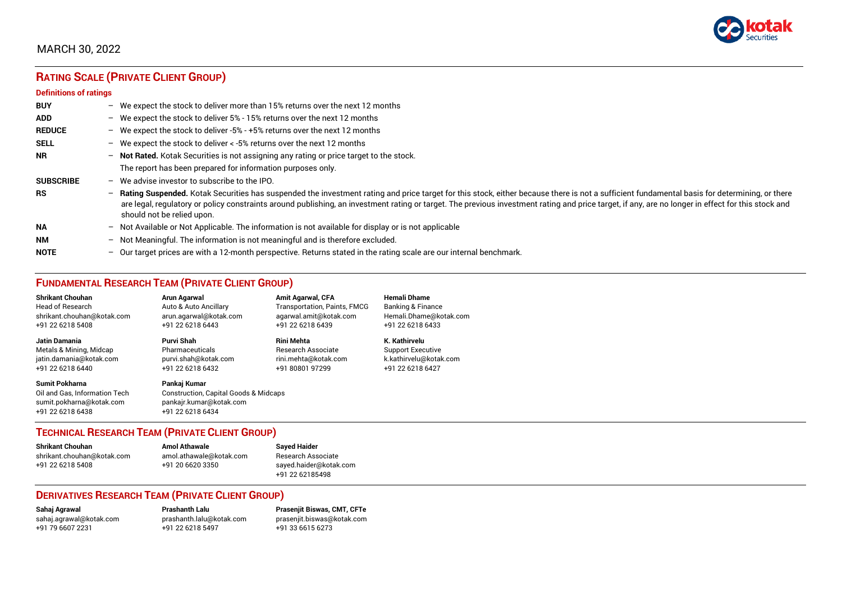

# **RATING SCALE (PRIVATE CLIENT GROUP)**

#### **Definitions of ratings**

| <b>BUY</b>       |   | - We expect the stock to deliver more than 15% returns over the next 12 months                                                                                                                                                                                                                                                                                                                                                     |
|------------------|---|------------------------------------------------------------------------------------------------------------------------------------------------------------------------------------------------------------------------------------------------------------------------------------------------------------------------------------------------------------------------------------------------------------------------------------|
| <b>ADD</b>       |   | - We expect the stock to deliver 5% - 15% returns over the next 12 months                                                                                                                                                                                                                                                                                                                                                          |
| <b>REDUCE</b>    |   | - We expect the stock to deliver -5% - +5% returns over the next 12 months                                                                                                                                                                                                                                                                                                                                                         |
| <b>SELL</b>      |   | - We expect the stock to deliver $\lt$ -5% returns over the next 12 months                                                                                                                                                                                                                                                                                                                                                         |
| <b>NR</b>        |   | - Not Rated. Kotak Securities is not assigning any rating or price target to the stock.                                                                                                                                                                                                                                                                                                                                            |
|                  |   | The report has been prepared for information purposes only.                                                                                                                                                                                                                                                                                                                                                                        |
| <b>SUBSCRIBE</b> |   | $-$ We advise investor to subscribe to the IPO.                                                                                                                                                                                                                                                                                                                                                                                    |
| <b>RS</b>        |   | - Rating Suspended. Kotak Securities has suspended the investment rating and price target for this stock, either because there is not a sufficient fundamental basis for determining, or there<br>are legal, regulatory or policy constraints around publishing, an investment rating or target. The previous investment rating and price target, if any, are no longer in effect for this stock and<br>should not be relied upon. |
| <b>NA</b>        |   | $-$ Not Available or Not Applicable. The information is not available for display or is not applicable                                                                                                                                                                                                                                                                                                                             |
| <b>NM</b>        |   | - Not Meaningful. The information is not meaningful and is therefore excluded.                                                                                                                                                                                                                                                                                                                                                     |
| <b>NOTE</b>      | - | Our target prices are with a 12-month perspective. Returns stated in the rating scale are our internal benchmark.                                                                                                                                                                                                                                                                                                                  |

## **FUNDAMENTAL RESEARCH TEAM (PRIVATE CLIENT GROUP)**

| <b>Shrikant Chouhan</b>                                                                                | Arun Agarwal                                                                                                    | <b>Amit Agarwal, CFA</b>            | <b>Hemali Dhame</b>      |
|--------------------------------------------------------------------------------------------------------|-----------------------------------------------------------------------------------------------------------------|-------------------------------------|--------------------------|
| <b>Head of Research</b>                                                                                | Auto & Auto Ancillary                                                                                           | <b>Transportation, Paints, FMCG</b> | Banking & Finance        |
| shrikant.chouhan@kotak.com                                                                             | arun.agarwal@kotak.com                                                                                          | agarwal.amit@kotak.com              | Hemali.Dhame@kotak.com   |
| +91 22 6218 5408                                                                                       | +91 22 6218 6443                                                                                                | +91 22 6218 6439                    | +91 22 6218 6433         |
| Jatin Damania                                                                                          | Purvi Shah                                                                                                      | <b>Rini Mehta</b>                   | K. Kathirvelu            |
| Metals & Mining, Midcap                                                                                | Pharmaceuticals                                                                                                 | <b>Research Associate</b>           | <b>Support Executive</b> |
| jatin.damania@kotak.com                                                                                | purvi.shah@kotak.com                                                                                            | rini.mehta@kotak.com                | k.kathirvelu@kotak.com   |
| +91 22 6218 6440                                                                                       | +91 22 6218 6432                                                                                                | +91 80801 97299                     | +91 22 6218 6427         |
| <b>Sumit Pokharna</b><br>Oil and Gas. Information Tech<br>sumit.pokharna@kotak.com<br>+91 22 6218 6438 | Pankaj Kumar<br><b>Construction, Capital Goods &amp; Midcaps</b><br>pankajr.kumar@kotak.com<br>+91 22 6218 6434 |                                     |                          |

## **TECHNICAL RESEARCH TEAM (PRIVATE CLIENT GROUP)**

| <b>Shrikant Chouhan</b>    | <b>Amol Athawale</b>    |  |
|----------------------------|-------------------------|--|
| shrikant.chouhan@kotak.com | amol.athawale@kotak.com |  |
| +91 22 6218 5408           | +91 20 6620 3350        |  |
|                            |                         |  |

#### **Sayed Haider** Research Associate [sayed.haider@kotak.com](mailto:sayed.haider@kotak.com) +91 22 62185498

#### **DERIVATIVES RESEARCH TEAM (PRIVATE CLIENT GROUP)**

+91 22 6218 5497 +91 33 6615 6273

**Sahaj Agrawal Prashanth Lalu Prasenjit Biswas, CMT, CFTe** [sahaj.agrawal@kotak.com](mailto:sahaj.agrawal@kotak.com) [prashanth.lalu@kotak.com](mailto:prashanth.lalu@kotak.com) [prasenjit.biswas@kotak.com](mailto:prasenjit.biswas@kotak.com)